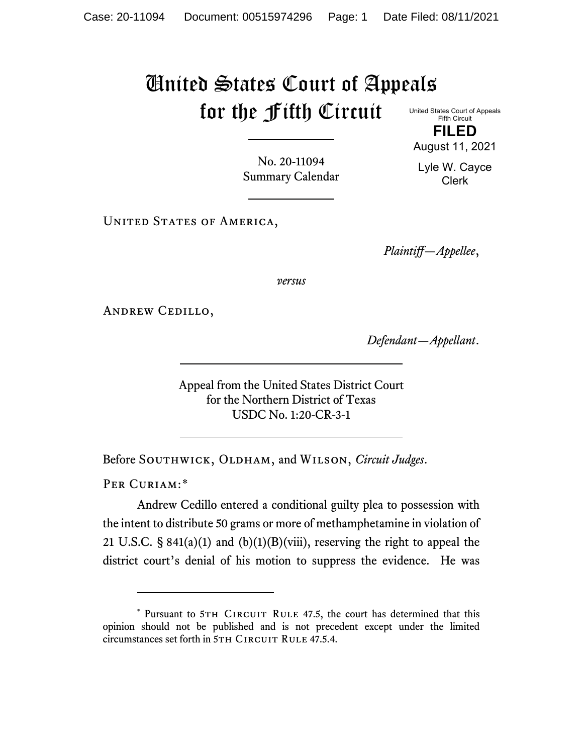## United States Court of Appeals for the Fifth Circuit United States Court of Appeals

Fifth Circuit **FILED**

August 11, 2021

No. 20-11094 Summary Calendar

Lyle W. Cayce Clerk

UNITED STATES OF AMERICA,

*Plaintiff—Appellee*,

*versus*

Andrew Cedillo,

*Defendant—Appellant*.

Appeal from the United States District Court for the Northern District of Texas USDC No. 1:20-CR-3-1

Before SOUTHWICK, OLDHAM, and WILSON, *Circuit Judges*.

PER CURIAM:[\\*](#page-0-0)

Andrew Cedillo entered a conditional guilty plea to possession with the intent to distribute 50 grams or more of methamphetamine in violation of 21 U.S.C. § 841(a)(1) and (b)(1)(B)(viii), reserving the right to appeal the district court's denial of his motion to suppress the evidence. He was

<span id="page-0-0"></span><sup>\*</sup> Pursuant to 5TH CIRCUIT RULE 47.5, the court has determined that this opinion should not be published and is not precedent except under the limited circumstances set forth in 5TH CIRCUIT RULE 47.5.4.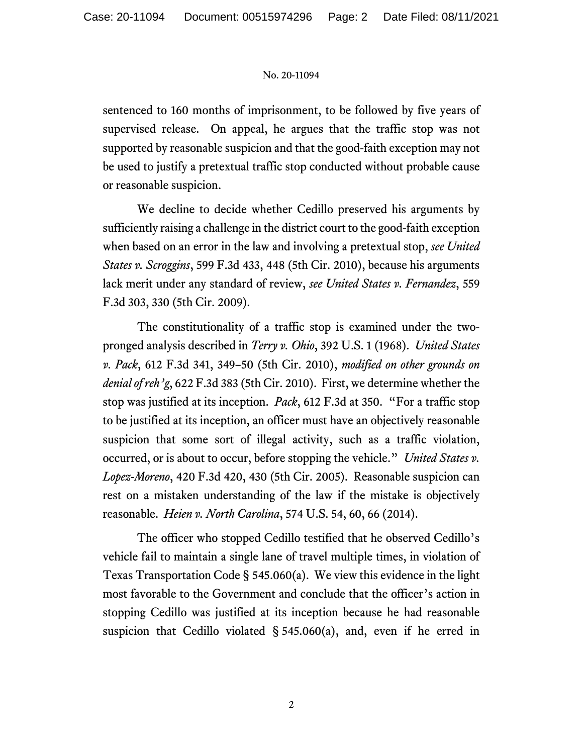## No. 20-11094

sentenced to 160 months of imprisonment, to be followed by five years of supervised release. On appeal, he argues that the traffic stop was not supported by reasonable suspicion and that the good-faith exception may not be used to justify a pretextual traffic stop conducted without probable cause or reasonable suspicion.

We decline to decide whether Cedillo preserved his arguments by sufficiently raising a challenge in the district court to the good-faith exception when based on an error in the law and involving a pretextual stop, *see United States v. Scroggins*, 599 F.3d 433, 448 (5th Cir. 2010), because his arguments lack merit under any standard of review, *see United States v. Fernandez*, 559 F.3d 303, 330 (5th Cir. 2009).

The constitutionality of a traffic stop is examined under the twopronged analysis described in *Terry v. Ohio*, 392 U.S. 1 (1968). *United States v. Pack*, 612 F.3d 341, 349–50 (5th Cir. 2010), *modified on other grounds on denial of reh'g*, 622 F.3d 383 (5th Cir. 2010). First, we determine whether the stop was justified at its inception. *Pack*, 612 F.3d at 350. "For a traffic stop to be justified at its inception, an officer must have an objectively reasonable suspicion that some sort of illegal activity, such as a traffic violation, occurred, or is about to occur, before stopping the vehicle." *United States v. Lopez-Moreno*, 420 F.3d 420, 430 (5th Cir. 2005). Reasonable suspicion can rest on a mistaken understanding of the law if the mistake is objectively reasonable. *Heien v. North Carolina*, 574 U.S. 54, 60, 66 (2014).

The officer who stopped Cedillo testified that he observed Cedillo's vehicle fail to maintain a single lane of travel multiple times, in violation of Texas Transportation Code § 545.060(a). We view this evidence in the light most favorable to the Government and conclude that the officer's action in stopping Cedillo was justified at its inception because he had reasonable suspicion that Cedillo violated  $\S$  545.060(a), and, even if he erred in